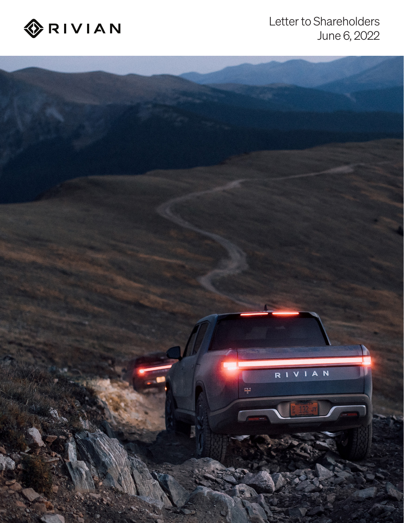

# Letter to Shareholders June 6, 2022

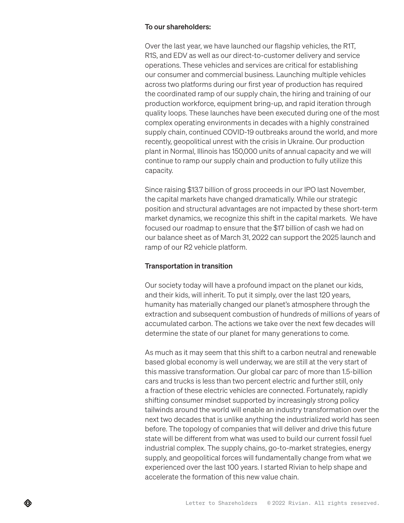### To our shareholders:

Over the last year, we have launched our flagship vehicles, the R1T, R1S, and EDV as well as our direct-to-customer delivery and service operations. These vehicles and services are critical for establishing our consumer and commercial business. Launching multiple vehicles across two platforms during our first year of production has required the coordinated ramp of our supply chain, the hiring and training of our production workforce, equipment bring-up, and rapid iteration through quality loops. These launches have been executed during one of the most complex operating environments in decades with a highly constrained supply chain, continued COVID-19 outbreaks around the world, and more recently, geopolitical unrest with the crisis in Ukraine. Our production plant in Normal, Illinois has 150,000 units of annual capacity and we will continue to ramp our supply chain and production to fully utilize this capacity.

Since raising \$13.7 billion of gross proceeds in our IPO last November, the capital markets have changed dramatically. While our strategic position and structural advantages are not impacted by these short-term market dynamics, we recognize this shift in the capital markets. We have focused our roadmap to ensure that the \$17 billion of cash we had on our balance sheet as of March 31, 2022 can support the 2025 launch and ramp of our R2 vehicle platform.

# Transportation in transition

Our society today will have a profound impact on the planet our kids, and their kids, will inherit. To put it simply, over the last 120 years, humanity has materially changed our planet's atmosphere through the extraction and subsequent combustion of hundreds of millions of years of accumulated carbon. The actions we take over the next few decades will determine the state of our planet for many generations to come.

As much as it may seem that this shift to a carbon neutral and renewable based global economy is well underway, we are still at the very start of this massive transformation. Our global car parc of more than 1.5-billion cars and trucks is less than two percent electric and further still, only a fraction of these electric vehicles are connected. Fortunately, rapidly shifting consumer mindset supported by increasingly strong policy tailwinds around the world will enable an industry transformation over the next two decades that is unlike anything the industrialized world has seen before. The topology of companies that will deliver and drive this future state will be different from what was used to build our current fossil fuel industrial complex. The supply chains, go-to-market strategies, energy supply, and geopolitical forces will fundamentally change from what we experienced over the last 100 years. I started Rivian to help shape and accelerate the formation of this new value chain.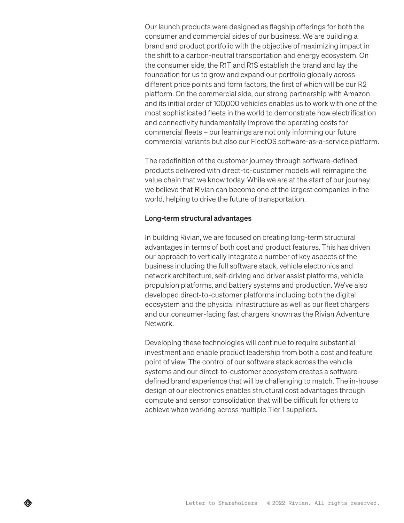Our launch products were designed as flagship offerings for both the consumer and commercial sides of our business. We are building a brand and product portfolio with the objective of maximizing impact in the shift to a carbon-neutral transportation and energy ecosystem. On the consumer side, the R1T and R1S establish the brand and lay the foundation for us to grow and expand our portfolio globally across different price points and form factors, the first of which will be our R2 platform. On the commercial side, our strong partnership with Amazon and its initial order of 100,000 vehicles enables us to work with one of the most sophisticated fleets in the world to demonstrate how electrification and connectivity fundamentally improve the operating costs for commercial fleets – our learnings are not only informing our future commercial variants but also our FleetOS software-as-a-service platform.

The redefinition of the customer journey through software-defined products delivered with direct-to-customer models will reimagine the value chain that we know today. While we are at the start of our journey, we believe that Rivian can become one of the largest companies in the world, helping to drive the future of transportation.

# Long-term structural advantages

In building Rivian, we are focused on creating long-term structural advantages in terms of both cost and product features. This has driven our approach to vertically integrate a number of key aspects of the business including the full software stack, vehicle electronics and network architecture, self-driving and driver assist platforms, vehicle propulsion platforms, and battery systems and production. We've also developed direct-to-customer platforms including both the digital ecosystem and the physical infrastructure as well as our fleet chargers and our consumer-facing fast chargers known as the Rivian Adventure Network.

Developing these technologies will continue to require substantial investment and enable product leadership from both a cost and feature point of view. The control of our software stack across the vehicle systems and our direct-to-customer ecosystem creates a softwaredefined brand experience that will be challenging to match. The in-house design of our electronics enables structural cost advantages through compute and sensor consolidation that will be difficult for others to achieve when working across multiple Tier 1 suppliers.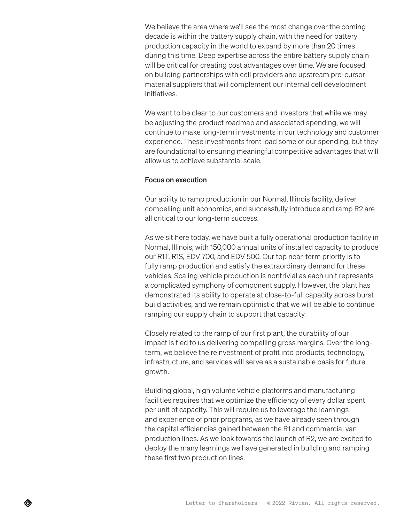We believe the area where we'll see the most change over the coming decade is within the battery supply chain, with the need for battery production capacity in the world to expand by more than 20 times during this time. Deep expertise across the entire battery supply chain will be critical for creating cost advantages over time. We are focused on building partnerships with cell providers and upstream pre-cursor material suppliers that will complement our internal cell development initiatives.

We want to be clear to our customers and investors that while we may be adjusting the product roadmap and associated spending, we will continue to make long-term investments in our technology and customer experience. These investments front load some of our spending, but they are foundational to ensuring meaningful competitive advantages that will allow us to achieve substantial scale.

## Focus on execution

Our ability to ramp production in our Normal, Illinois facility, deliver compelling unit economics, and successfully introduce and ramp R2 are all critical to our long-term success.

As we sit here today, we have built a fully operational production facility in Normal, Illinois, with 150,000 annual units of installed capacity to produce our R1T, R1S, EDV 700, and EDV 500. Our top near-term priority is to fully ramp production and satisfy the extraordinary demand for these vehicles. Scaling vehicle production is nontrivial as each unit represents a complicated symphony of component supply. However, the plant has demonstrated its ability to operate at close-to-full capacity across burst build activities, and we remain optimistic that we will be able to continue ramping our supply chain to support that capacity.

Closely related to the ramp of our first plant, the durability of our impact is tied to us delivering compelling gross margins. Over the longterm, we believe the reinvestment of profit into products, technology, infrastructure, and services will serve as a sustainable basis for future growth.

Building global, high volume vehicle platforms and manufacturing facilities requires that we optimize the efficiency of every dollar spent per unit of capacity. This will require us to leverage the learnings and experience of prior programs, as we have already seen through the capital efficiencies gained between the R1 and commercial van production lines. As we look towards the launch of R2, we are excited to deploy the many learnings we have generated in building and ramping these first two production lines.